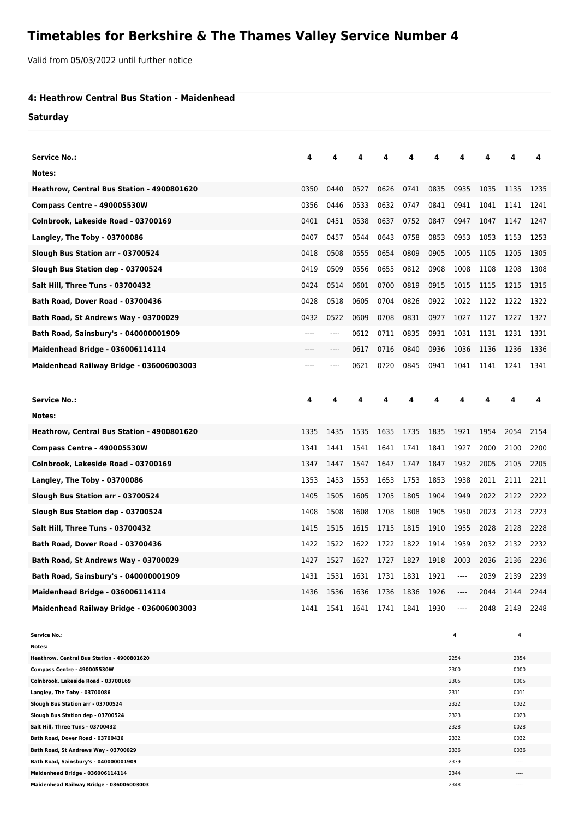## **Timetables for Berkshire & The Thames Valley Service Number 4**

Valid from 05/03/2022 until further notice

## **4: Heathrow Central Bus Station - Maidenhead**

**Saturday**

| <b>Service No.:</b>                                                       | 4    |      | 4                        |      |      | 4    | Δ            |      | 4            | 4    |
|---------------------------------------------------------------------------|------|------|--------------------------|------|------|------|--------------|------|--------------|------|
| Notes:                                                                    |      |      |                          |      |      |      |              |      |              |      |
| Heathrow, Central Bus Station - 4900801620                                | 0350 | 0440 | 0527                     | 0626 | 0741 | 0835 | 0935         | 1035 | 1135         | 1235 |
| Compass Centre - 490005530W                                               | 0356 | 0446 | 0533                     | 0632 | 0747 | 0841 | 0941         | 1041 | 1141         | 1241 |
| Colnbrook, Lakeside Road - 03700169                                       | 0401 | 0451 | 0538                     | 0637 | 0752 | 0847 | 0947         | 1047 | 1147         | 1247 |
| Langley, The Toby - 03700086                                              | 0407 | 0457 | 0544                     | 0643 | 0758 | 0853 | 0953         | 1053 | 1153         | 1253 |
| Slough Bus Station arr - 03700524                                         | 0418 | 0508 | 0555                     | 0654 | 0809 | 0905 | 1005         | 1105 | 1205         | 1305 |
| Slough Bus Station dep - 03700524                                         | 0419 | 0509 | 0556                     | 0655 | 0812 | 0908 | 1008         | 1108 | 1208         | 1308 |
| Salt Hill, Three Tuns - 03700432                                          | 0424 | 0514 | 0601                     | 0700 | 0819 | 0915 | 1015         | 1115 | 1215         | 1315 |
| Bath Road, Dover Road - 03700436                                          | 0428 | 0518 | 0605                     | 0704 | 0826 | 0922 | 1022         | 1122 | 1222         | 1322 |
| Bath Road, St Andrews Way - 03700029                                      | 0432 | 0522 | 0609                     | 0708 | 0831 | 0927 | 1027         | 1127 | 1227         | 1327 |
| Bath Road, Sainsbury's - 040000001909                                     | ---- | ---- | 0612                     | 0711 | 0835 | 0931 | 1031         | 1131 | 1231         | 1331 |
| Maidenhead Bridge - 036006114114                                          |      | ---- | 0617                     | 0716 | 0840 | 0936 | 1036         | 1136 | 1236         | 1336 |
| Maidenhead Railway Bridge - 036006003003                                  |      |      | 0621                     | 0720 | 0845 | 0941 | 1041         | 1141 | 1241         | 1341 |
| <b>Service No.:</b>                                                       | 4    | 4    | 4                        | 4    | 4    | 4    | 4            | 4    | 4            | 4    |
| Notes:                                                                    |      |      |                          |      |      |      |              |      |              |      |
| Heathrow, Central Bus Station - 4900801620                                | 1335 | 1435 | 1535                     | 1635 | 1735 | 1835 | 1921         | 1954 | 2054         | 2154 |
| Compass Centre - 490005530W                                               | 1341 | 1441 | 1541                     | 1641 | 1741 | 1841 | 1927         | 2000 | 2100         | 2200 |
| Colnbrook, Lakeside Road - 03700169                                       |      |      |                          |      |      |      |              |      |              |      |
|                                                                           | 1347 | 1447 | 1547                     | 1647 | 1747 | 1847 | 1932         | 2005 | 2105         | 2205 |
| Langley, The Toby - 03700086                                              | 1353 | 1453 | 1553                     | 1653 | 1753 | 1853 | 1938         | 2011 | 2111         | 2211 |
| Slough Bus Station arr - 03700524                                         | 1405 | 1505 | 1605                     | 1705 | 1805 | 1904 | 1949         | 2022 | 2122         | 2222 |
| Slough Bus Station dep - 03700524                                         | 1408 | 1508 | 1608                     | 1708 | 1808 | 1905 | 1950         | 2023 | 2123         | 2223 |
| <b>Salt Hill, Three Tuns - 03700432</b>                                   | 1415 | 1515 | 1615                     | 1715 | 1815 | 1910 | 1955         | 2028 | 2128         | 2228 |
| Bath Road, Dover Road - 03700436                                          | 1422 | 1522 | 1622                     | 1722 | 1822 | 1914 | 1959         | 2032 | 2132         | 2232 |
| Bath Road, St Andrews Way - 03700029                                      | 1427 | 1527 | 1627                     | 1727 | 1827 | 1918 | 2003         | 2036 | 2136         | 2236 |
| Bath Road, Sainsbury's - 040000001909                                     | 1431 | 1531 | 1631 1731 1831           |      |      | 1921 | ----         | 2039 | 2139         | 2239 |
| <b>Maidenhead Bridge - 036006114114</b>                                   | 1436 | 1536 | 1636                     | 1736 | 1836 | 1926 | ----         | 2044 | 2144         | 2244 |
| Maidenhead Railway Bridge - 036006003003                                  | 1441 |      | 1541 1641 1741 1841 1930 |      |      |      | ----         | 2048 | 2148         | 2248 |
| <b>Service No.:</b><br>Notes:                                             |      |      |                          |      |      |      | 4            |      | 4            |      |
| Heathrow, Central Bus Station - 4900801620<br>Compass Centre - 490005530W |      |      |                          |      |      |      | 2254<br>2300 |      | 2354<br>0000 |      |

| <b>Compass Centre - 490005530W</b>       | 2300 | 0000      |
|------------------------------------------|------|-----------|
| Colnbrook, Lakeside Road - 03700169      | 2305 | 0005      |
| Langley, The Toby - 03700086             | 2311 | 0011      |
| Slough Bus Station arr - 03700524        | 2322 | 0022      |
| Slough Bus Station dep - 03700524        | 2323 | 0023      |
| Salt Hill, Three Tuns - 03700432         | 2328 | 0028      |
| Bath Road. Dover Road - 03700436         | 2332 | 0032      |
| Bath Road, St Andrews Way - 03700029     | 2336 | 0036      |
| Bath Road, Sainsbury's - 040000001909    | 2339 | $- - - -$ |
| Maidenhead Bridge - 036006114114         | 2344 | $- - - -$ |
| Maidenhead Railway Bridge - 036006003003 | 2348 | $\cdots$  |